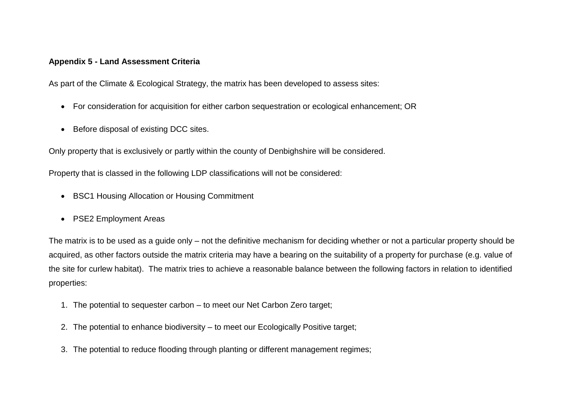## **Appendix 5 - Land Assessment Criteria**

As part of the Climate & Ecological Strategy, the matrix has been developed to assess sites:

- For consideration for acquisition for either carbon sequestration or ecological enhancement; OR
- Before disposal of existing DCC sites.

Only property that is exclusively or partly within the county of Denbighshire will be considered.

Property that is classed in the following LDP classifications will not be considered:

- BSC1 Housing Allocation or Housing Commitment
- PSE2 Employment Areas

The matrix is to be used as a guide only – not the definitive mechanism for deciding whether or not a particular property should be acquired, as other factors outside the matrix criteria may have a bearing on the suitability of a property for purchase (e.g. value of the site for curlew habitat). The matrix tries to achieve a reasonable balance between the following factors in relation to identified properties:

- 1. The potential to sequester carbon to meet our Net Carbon Zero target;
- 2. The potential to enhance biodiversity to meet our Ecologically Positive target;
- 3. The potential to reduce flooding through planting or different management regimes;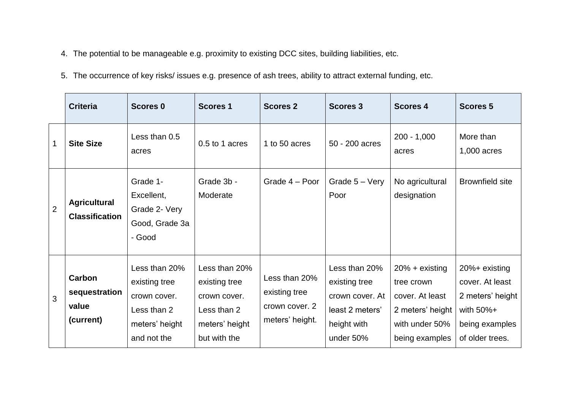- 4. The potential to be manageable e.g. proximity to existing DCC sites, building liabilities, etc.
- 5. The occurrence of key risks/ issues e.g. presence of ash trees, ability to attract external funding, etc.

|                | <b>Criteria</b>                               | <b>Scores 0</b>                                                                                | <b>Scores 1</b>                                                                                 | <b>Scores 2</b>                                                     | <b>Scores 3</b>                                                                                  | <b>Scores 4</b>                                                                                           | <b>Scores 5</b>                                                                                            |
|----------------|-----------------------------------------------|------------------------------------------------------------------------------------------------|-------------------------------------------------------------------------------------------------|---------------------------------------------------------------------|--------------------------------------------------------------------------------------------------|-----------------------------------------------------------------------------------------------------------|------------------------------------------------------------------------------------------------------------|
| $\mathbf 1$    | <b>Site Size</b>                              | Less than 0.5<br>acres                                                                         | 0.5 to 1 acres                                                                                  | 1 to 50 acres                                                       | 50 - 200 acres                                                                                   | $200 - 1,000$<br>acres                                                                                    | More than<br>1,000 acres                                                                                   |
| $\overline{2}$ | <b>Agricultural</b><br><b>Classification</b>  | Grade 1-<br>Excellent,<br>Grade 2- Very<br>Good, Grade 3a<br>- Good                            | Grade 3b -<br>Moderate                                                                          | Grade 4 – Poor                                                      | Grade 5 - Very<br>Poor                                                                           | No agricultural<br>designation                                                                            | <b>Brownfield site</b>                                                                                     |
| 3              | Carbon<br>sequestration<br>value<br>(current) | Less than 20%<br>existing tree<br>crown cover.<br>Less than 2<br>meters' height<br>and not the | Less than 20%<br>existing tree<br>crown cover.<br>Less than 2<br>meters' height<br>but with the | Less than 20%<br>existing tree<br>crown cover. 2<br>meters' height. | Less than 20%<br>existing tree<br>crown cover. At<br>least 2 meters'<br>height with<br>under 50% | $20% + existing$<br>tree crown<br>cover. At least<br>2 meters' height<br>with under 50%<br>being examples | 20%+ existing<br>cover. At least<br>2 meters' height<br>with $50\% +$<br>being examples<br>of older trees. |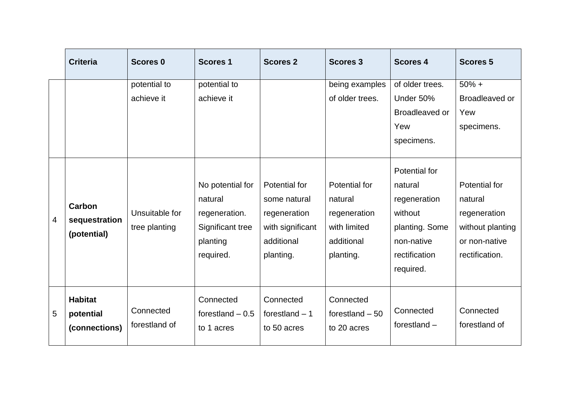|   | <b>Criteria</b>                              | <b>Scores 0</b>                 | <b>Scores 1</b>                                                                           | <b>Scores 2</b>                                                                              | <b>Scores 3</b>                                                                     | <b>Scores 4</b>                                                                                                   | <b>Scores 5</b>                                                                                 |
|---|----------------------------------------------|---------------------------------|-------------------------------------------------------------------------------------------|----------------------------------------------------------------------------------------------|-------------------------------------------------------------------------------------|-------------------------------------------------------------------------------------------------------------------|-------------------------------------------------------------------------------------------------|
|   |                                              | potential to<br>achieve it      | potential to<br>achieve it                                                                |                                                                                              | being examples<br>of older trees.                                                   | of older trees.<br>Under 50%<br>Broadleaved or<br>Yew<br>specimens.                                               | $50% +$<br>Broadleaved or<br>Yew<br>specimens.                                                  |
| 4 | Carbon<br>sequestration<br>(potential)       | Unsuitable for<br>tree planting | No potential for<br>natural<br>regeneration.<br>Significant tree<br>planting<br>required. | Potential for<br>some natural<br>regeneration<br>with significant<br>additional<br>planting. | Potential for<br>natural<br>regeneration<br>with limited<br>additional<br>planting. | Potential for<br>natural<br>regeneration<br>without<br>planting. Some<br>non-native<br>rectification<br>required. | Potential for<br>natural<br>regeneration<br>without planting<br>or non-native<br>rectification. |
| 5 | <b>Habitat</b><br>potential<br>(connections) | Connected<br>forestland of      | Connected<br>forestland $-0.5$<br>to 1 acres                                              | Connected<br>forestland $-1$<br>to 50 acres                                                  | Connected<br>forestland $-50$<br>to 20 acres                                        | Connected<br>forestland $-$                                                                                       | Connected<br>forestland of                                                                      |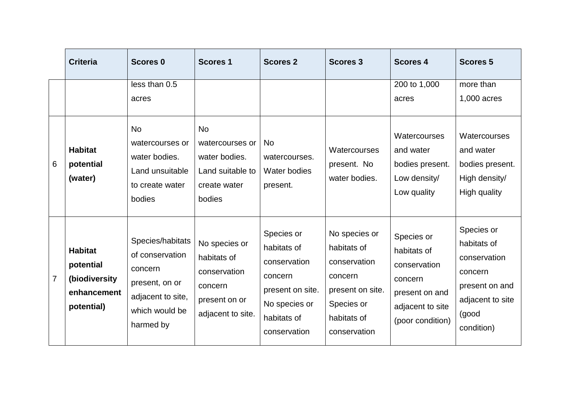|                 | <b>Criteria</b>                                                           | <b>Scores 0</b>                                                                                                      | <b>Scores 1</b>                                                                               | <b>Scores 2</b>                                                                                                          | <b>Scores 3</b>                                                                                                          | <b>Scores 4</b>                                                                                                | <b>Scores 5</b>                                                                                                   |
|-----------------|---------------------------------------------------------------------------|----------------------------------------------------------------------------------------------------------------------|-----------------------------------------------------------------------------------------------|--------------------------------------------------------------------------------------------------------------------------|--------------------------------------------------------------------------------------------------------------------------|----------------------------------------------------------------------------------------------------------------|-------------------------------------------------------------------------------------------------------------------|
|                 |                                                                           | less than 0.5<br>acres                                                                                               |                                                                                               |                                                                                                                          |                                                                                                                          | 200 to 1,000<br>acres                                                                                          | more than<br>1,000 acres                                                                                          |
| $6\phantom{1}6$ | <b>Habitat</b><br>potential<br>(water)                                    | <b>No</b><br>watercourses or<br>water bodies.<br>Land unsuitable<br>to create water<br>bodies                        | <b>No</b><br>watercourses or<br>water bodies.<br>Land suitable to<br>create water<br>bodies   | No.<br>watercourses.<br>Water bodies<br>present.                                                                         | Watercourses<br>present. No<br>water bodies.                                                                             | Watercourses<br>and water<br>bodies present.<br>Low density/<br>Low quality                                    | Watercourses<br>and water<br>bodies present.<br>High density/<br>High quality                                     |
| $\overline{7}$  | <b>Habitat</b><br>potential<br>(biodiversity<br>enhancement<br>potential) | Species/habitats<br>of conservation<br>concern<br>present, on or<br>adjacent to site,<br>which would be<br>harmed by | No species or<br>habitats of<br>conservation<br>concern<br>present on or<br>adjacent to site. | Species or<br>habitats of<br>conservation<br>concern<br>present on site.<br>No species or<br>habitats of<br>conservation | No species or<br>habitats of<br>conservation<br>concern<br>present on site.<br>Species or<br>habitats of<br>conservation | Species or<br>habitats of<br>conservation<br>concern<br>present on and<br>adjacent to site<br>(poor condition) | Species or<br>habitats of<br>conservation<br>concern<br>present on and<br>adjacent to site<br>(good<br>condition) |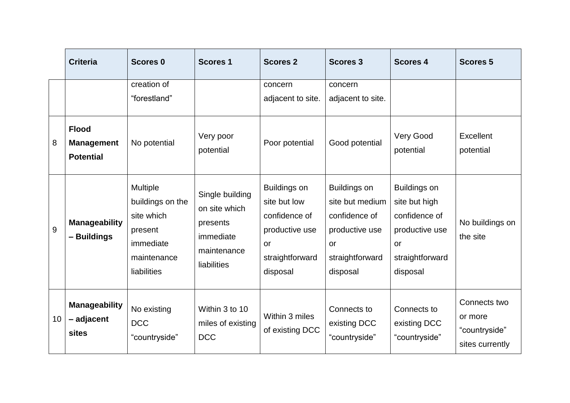|    | <b>Criteria</b>                                       | <b>Scores 0</b>                                                                                         | <b>Scores 1</b>                                                                         | <b>Scores 2</b>                                                                                             | <b>Scores 3</b>                                                                                                       | <b>Scores 4</b>                                                                                                     | <b>Scores 5</b>                                             |
|----|-------------------------------------------------------|---------------------------------------------------------------------------------------------------------|-----------------------------------------------------------------------------------------|-------------------------------------------------------------------------------------------------------------|-----------------------------------------------------------------------------------------------------------------------|---------------------------------------------------------------------------------------------------------------------|-------------------------------------------------------------|
|    |                                                       | creation of<br>"forestland"                                                                             |                                                                                         | concern<br>adjacent to site.                                                                                | concern<br>adjacent to site.                                                                                          |                                                                                                                     |                                                             |
| 8  | <b>Flood</b><br><b>Management</b><br><b>Potential</b> | No potential                                                                                            | Very poor<br>potential                                                                  | Poor potential                                                                                              | Good potential                                                                                                        | <b>Very Good</b><br>potential                                                                                       | Excellent<br>potential                                      |
| 9  | <b>Manageability</b><br>- Buildings                   | <b>Multiple</b><br>buildings on the<br>site which<br>present<br>immediate<br>maintenance<br>liabilities | Single building<br>on site which<br>presents<br>immediate<br>maintenance<br>liabilities | <b>Buildings on</b><br>site but low<br>confidence of<br>productive use<br>or<br>straightforward<br>disposal | <b>Buildings on</b><br>site but medium<br>confidence of<br>productive use<br><b>or</b><br>straightforward<br>disposal | <b>Buildings on</b><br>site but high<br>confidence of<br>productive use<br><b>or</b><br>straightforward<br>disposal | No buildings on<br>the site                                 |
| 10 | <b>Manageability</b><br>- adjacent<br>sites           | No existing<br><b>DCC</b><br>"countryside"                                                              | Within 3 to 10<br>miles of existing<br><b>DCC</b>                                       | Within 3 miles<br>of existing DCC                                                                           | Connects to<br>existing DCC<br>"countryside"                                                                          | Connects to<br>existing DCC<br>"countryside"                                                                        | Connects two<br>or more<br>"countryside"<br>sites currently |